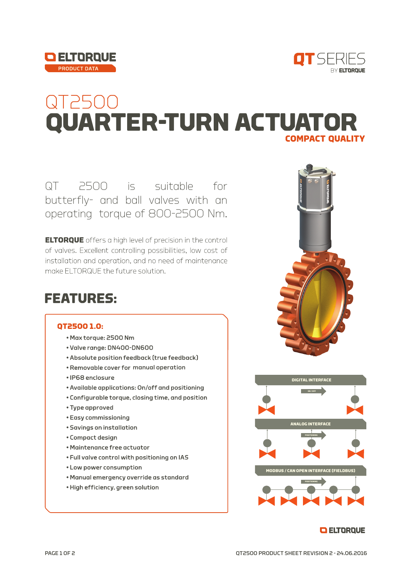



## QT2500 **QUARTER-TURN ACTUATOR COMPACT QUALITY**

QT 2500 is suitable for butterfly- and ball valves with an operating torque of 800-2500 Nm.

**ELTORQUE** offers a high level of precision in the control of valves. Excellent controlling possibilities, low cost of installation and operation, and no need of maintenance make ELTORQUE the future solution.

### **FEATURES:**

#### **OT2500 1.0:**

- Max torque: 2500 Nm
- · Valve range: DN400-DN600
- Absolute position feedback (true feedback)
- Removable cover for manual operation
- · IP68 enclosure
- Available applications: On/off and positioning
- . Configurable torque, closing time, and position
- Type approved
- Easy commissioning
- · Savings on installation
- Compact design
- Maintenance free actuator
- . Full valve control with positioning on IAS
- Low power consumption
- . Manual emergency override as standard
- · High efficiency, green solution





#### **O ELTORQUE**